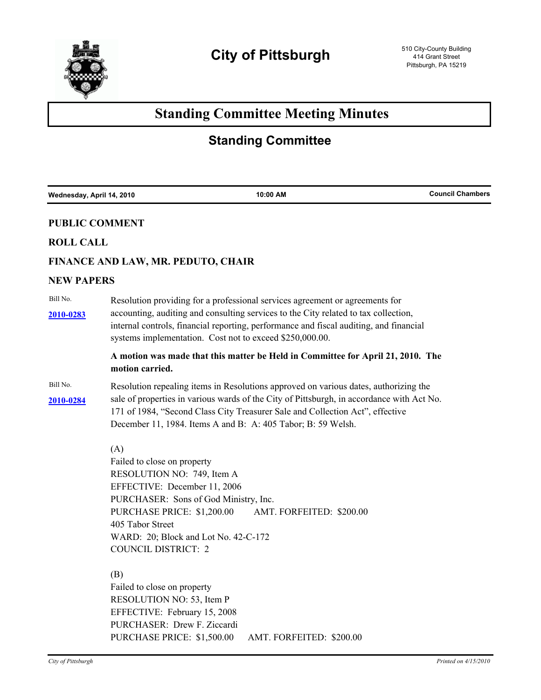

# **Standing Committee Meeting Minutes**

# **Standing Committee**

| Wednesday, April 14, 2010 |                                                                                                                                                                                                                                                                                                                                    | 10:00 AM                                                          | <b>Council Chambers</b> |  |
|---------------------------|------------------------------------------------------------------------------------------------------------------------------------------------------------------------------------------------------------------------------------------------------------------------------------------------------------------------------------|-------------------------------------------------------------------|-------------------------|--|
| <b>PUBLIC COMMENT</b>     |                                                                                                                                                                                                                                                                                                                                    |                                                                   |                         |  |
| <b>ROLL CALL</b>          |                                                                                                                                                                                                                                                                                                                                    |                                                                   |                         |  |
|                           | FINANCE AND LAW, MR. PEDUTO, CHAIR                                                                                                                                                                                                                                                                                                 |                                                                   |                         |  |
| <b>NEW PAPERS</b>         |                                                                                                                                                                                                                                                                                                                                    |                                                                   |                         |  |
| Bill No.<br>2010-0283     | Resolution providing for a professional services agreement or agreements for<br>accounting, auditing and consulting services to the City related to tax collection,<br>internal controls, financial reporting, performance and fiscal auditing, and financial<br>systems implementation. Cost not to exceed \$250,000.00.          |                                                                   |                         |  |
|                           | A motion was made that this matter be Held in Committee for April 21, 2010. The<br>motion carried.                                                                                                                                                                                                                                 |                                                                   |                         |  |
| Bill No.<br>2010-0284     | Resolution repealing items in Resolutions approved on various dates, authorizing the<br>sale of properties in various wards of the City of Pittsburgh, in accordance with Act No.<br>171 of 1984, "Second Class City Treasurer Sale and Collection Act", effective<br>December 11, 1984. Items A and B: A: 405 Tabor; B: 59 Welsh. |                                                                   |                         |  |
|                           | (A)<br>Failed to close on property<br>RESOLUTION NO: 749, Item A<br>EFFECTIVE: December 11, 2006<br>PURCHASE PRICE: \$1,200.00<br>405 Tabor Street<br>WARD: 20; Block and Lot No. 42-C-172<br><b>COUNCIL DISTRICT: 2</b>                                                                                                           | PURCHASER: Sons of God Ministry, Inc.<br>AMT. FORFEITED: \$200.00 |                         |  |
|                           | (B)<br>Failed to close on property<br>RESOLUTION NO: 53, Item P<br>EFFECTIVE: February 15, 2008<br>PURCHASER: Drew F. Ziccardi<br>PURCHASE PRICE: \$1,500.00                                                                                                                                                                       | AMT. FORFEITED: \$200.00                                          |                         |  |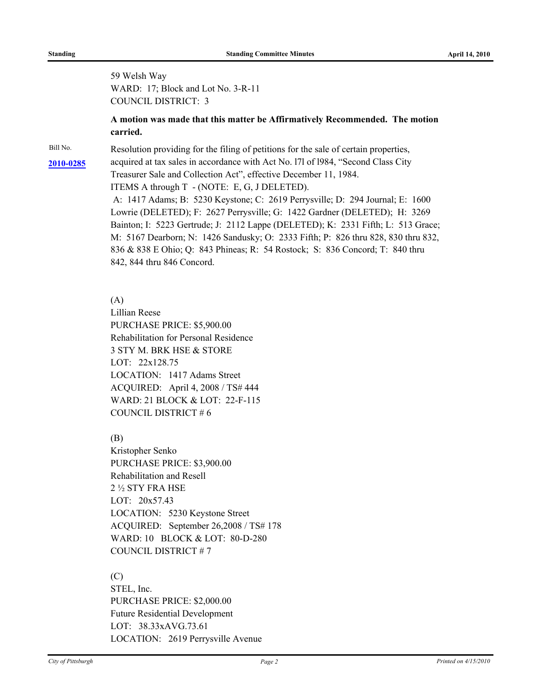59 Welsh Way WARD: 17; Block and Lot No. 3-R-11 COUNCIL DISTRICT: 3

# **A motion was made that this matter be Affirmatively Recommended. The motion carried.**

Bill No. Resolution providing for the filing of petitions for the sale of certain properties, [2010-0285](http://pittsburgh.legistar.com/gateway.aspx/matter.aspx?key=12816) acquired at tax sales in accordance with Act No. 171 of 1984, "Second Class City Treasurer Sale and Collection Act", effective December 11, 1984. ITEMS A through T - (NOTE: E, G, J DELETED). A: 1417 Adams; B: 5230 Keystone; C: 2619 Perrysville; D: 294 Journal; E: 1600 Lowrie (DELETED); F: 2627 Perrysville; G: 1422 Gardner (DELETED); H: 3269 Bainton; I: 5223 Gertrude; J: 2112 Lappe (DELETED); K: 2331 Fifth; L: 513 Grace; M: 5167 Dearborn; N: 1426 Sandusky; O: 2333 Fifth; P: 826 thru 828, 830 thru 832, 836 & 838 E Ohio; Q: 843 Phineas; R: 54 Rostock; S: 836 Concord; T: 840 thru 842, 844 thru 846 Concord.

(A)

Lillian Reese PURCHASE PRICE: \$5,900.00 Rehabilitation for Personal Residence 3 STY M. BRK HSE & STORE LOT: 22x128.75 LOCATION: 1417 Adams Street ACQUIRED: April 4, 2008 / TS# 444 WARD: 21 BLOCK & LOT: 22-F-115 COUNCIL DISTRICT # 6

(B)

Kristopher Senko PURCHASE PRICE: \$3,900.00 Rehabilitation and Resell 2 ½ STY FRA HSE LOT: 20x57.43 LOCATION: 5230 Keystone Street ACQUIRED: September 26,2008 / TS# 178 WARD: 10 BLOCK & LOT: 80-D-280 COUNCIL DISTRICT # 7

(C) STEL, Inc. PURCHASE PRICE: \$2,000.00 Future Residential Development LOT: 38.33xAVG.73.61 LOCATION: 2619 Perrysville Avenue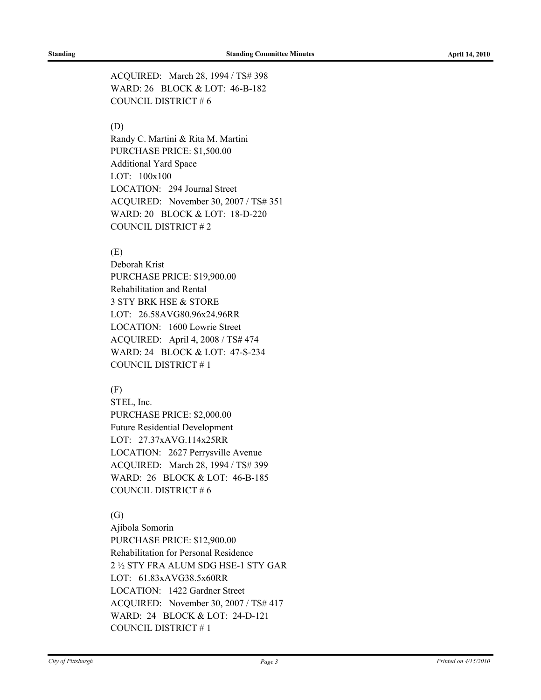ACQUIRED: March 28, 1994 / TS# 398 WARD: 26 BLOCK & LOT: 46-B-182 COUNCIL DISTRICT # 6

# (D)

Randy C. Martini & Rita M. Martini PURCHASE PRICE: \$1,500.00 Additional Yard Space LOT: 100x100 LOCATION: 294 Journal Street ACQUIRED: November 30, 2007 / TS# 351 WARD: 20 BLOCK & LOT: 18-D-220 COUNCIL DISTRICT # 2

# (E)

Deborah Krist PURCHASE PRICE: \$19,900.00 Rehabilitation and Rental 3 STY BRK HSE & STORE LOT: 26.58AVG80.96x24.96RR LOCATION: 1600 Lowrie Street ACQUIRED: April 4, 2008 / TS# 474 WARD: 24 BLOCK & LOT: 47-S-234 COUNCIL DISTRICT # 1

# (F)

STEL, Inc. PURCHASE PRICE: \$2,000.00 Future Residential Development LOT: 27.37xAVG.114x25RR LOCATION: 2627 Perrysville Avenue ACQUIRED: March 28, 1994 / TS# 399 WARD: 26 BLOCK & LOT: 46-B-185 COUNCIL DISTRICT # 6

# (G)

Ajibola Somorin PURCHASE PRICE: \$12,900.00 Rehabilitation for Personal Residence 2 ½ STY FRA ALUM SDG HSE-1 STY GAR LOT: 61.83xAVG38.5x60RR LOCATION: 1422 Gardner Street ACQUIRED: November 30, 2007 / TS# 417 WARD: 24 BLOCK & LOT: 24-D-121 COUNCIL DISTRICT # 1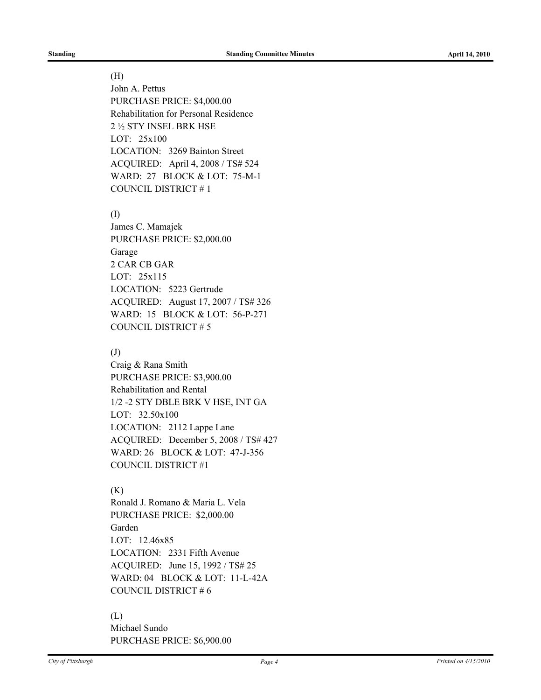#### (H)

John A. Pettus PURCHASE PRICE: \$4,000.00 Rehabilitation for Personal Residence 2 ½ STY INSEL BRK HSE LOT: 25x100 LOCATION: 3269 Bainton Street ACQUIRED: April 4, 2008 / TS# 524 WARD: 27 BLOCK & LOT: 75-M-1 COUNCIL DISTRICT # 1

(I)

James C. Mamajek PURCHASE PRICE: \$2,000.00 Garage 2 CAR CB GAR LOT: 25x115 LOCATION: 5223 Gertrude ACQUIRED: August 17, 2007 / TS# 326 WARD: 15 BLOCK & LOT: 56-P-271 COUNCIL DISTRICT # 5

## (J)

Craig & Rana Smith PURCHASE PRICE: \$3,900.00 Rehabilitation and Rental 1/2 -2 STY DBLE BRK V HSE, INT GA LOT: 32.50x100 LOCATION: 2112 Lappe Lane ACQUIRED: December 5, 2008 / TS# 427 WARD: 26 BLOCK & LOT: 47-J-356 COUNCIL DISTRICT #1

# (K)

Ronald J. Romano & Maria L. Vela PURCHASE PRICE: \$2,000.00 Garden LOT: 12.46x85 LOCATION: 2331 Fifth Avenue ACQUIRED: June 15, 1992 / TS# 25 WARD: 04 BLOCK & LOT: 11-L-42A COUNCIL DISTRICT # 6

# (L)

Michael Sundo PURCHASE PRICE: \$6,900.00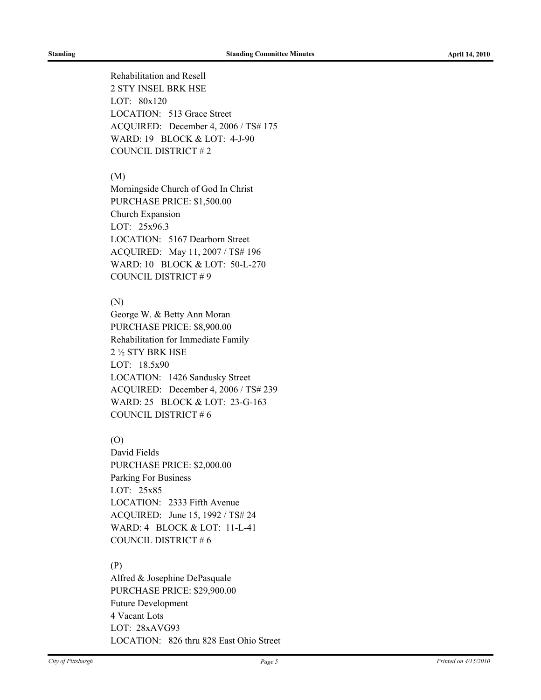Rehabilitation and Resell 2 STY INSEL BRK HSE LOT: 80x120 LOCATION: 513 Grace Street ACQUIRED: December 4, 2006 / TS# 175 WARD: 19 BLOCK & LOT: 4-J-90 COUNCIL DISTRICT # 2

### (M)

Morningside Church of God In Christ PURCHASE PRICE: \$1,500.00 Church Expansion LOT: 25x96.3 LOCATION: 5167 Dearborn Street ACQUIRED: May 11, 2007 / TS# 196 WARD: 10 BLOCK & LOT: 50-L-270 COUNCIL DISTRICT # 9

#### (N)

George W. & Betty Ann Moran PURCHASE PRICE: \$8,900.00 Rehabilitation for Immediate Family 2 ½ STY BRK HSE LOT: 18.5x90 LOCATION: 1426 Sandusky Street ACQUIRED: December 4, 2006 / TS# 239 WARD: 25 BLOCK & LOT: 23-G-163 COUNCIL DISTRICT # 6

# (O)

David Fields PURCHASE PRICE: \$2,000.00 Parking For Business LOT: 25x85 LOCATION: 2333 Fifth Avenue ACQUIRED: June 15, 1992 / TS# 24 WARD: 4 BLOCK & LOT: 11-L-41 COUNCIL DISTRICT # 6

# (P)

Alfred & Josephine DePasquale PURCHASE PRICE: \$29,900.00 Future Development 4 Vacant Lots LOT: 28xAVG93 LOCATION: 826 thru 828 East Ohio Street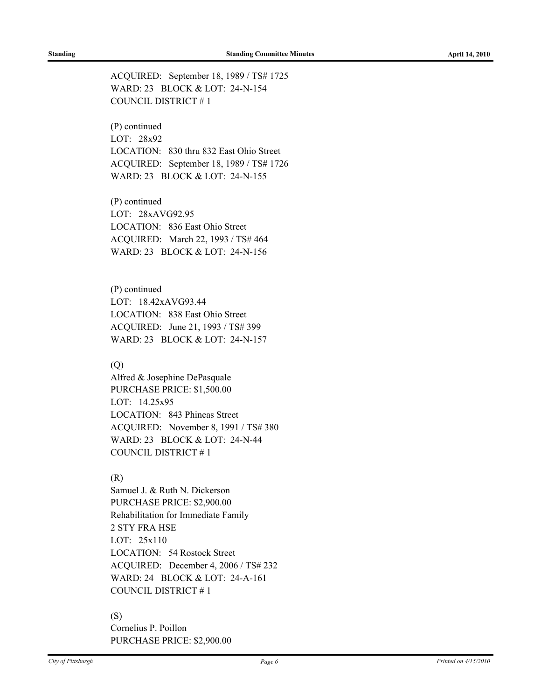ACQUIRED: September 18, 1989 / TS# 1725 WARD: 23 BLOCK & LOT: 24-N-154 COUNCIL DISTRICT # 1

(P) continued LOT: 28x92 LOCATION: 830 thru 832 East Ohio Street ACQUIRED: September 18, 1989 / TS# 1726 WARD: 23 BLOCK & LOT: 24-N-155

(P) continued LOT: 28xAVG92.95 LOCATION: 836 East Ohio Street ACQUIRED: March 22, 1993 / TS# 464 WARD: 23 BLOCK & LOT: 24-N-156

(P) continued LOT: 18.42xAVG93.44 LOCATION: 838 East Ohio Street ACQUIRED: June 21, 1993 / TS# 399 WARD: 23 BLOCK & LOT: 24-N-157

# (Q)

Alfred & Josephine DePasquale PURCHASE PRICE: \$1,500.00 LOT: 14.25x95 LOCATION: 843 Phineas Street ACQUIRED: November 8, 1991 / TS# 380 WARD: 23 BLOCK & LOT: 24-N-44 COUNCIL DISTRICT # 1

# (R)

Samuel J. & Ruth N. Dickerson PURCHASE PRICE: \$2,900.00 Rehabilitation for Immediate Family 2 STY FRA HSE LOT: 25x110 LOCATION: 54 Rostock Street ACQUIRED: December 4, 2006 / TS# 232 WARD: 24 BLOCK & LOT: 24-A-161 COUNCIL DISTRICT # 1

# (S)

Cornelius P. Poillon PURCHASE PRICE: \$2,900.00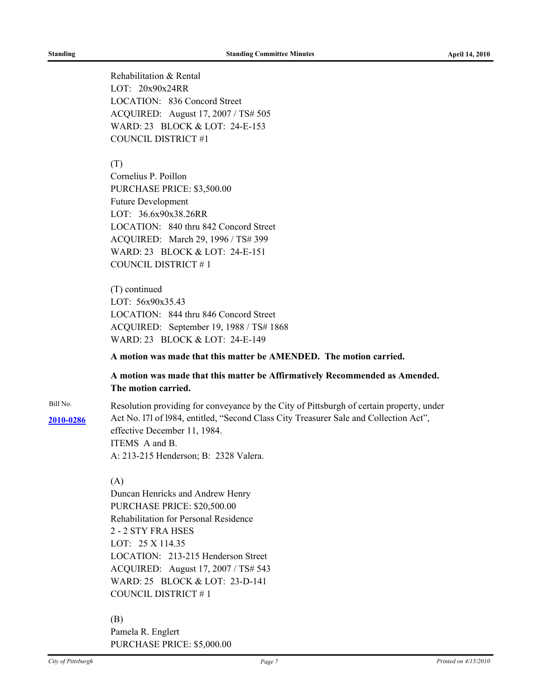Rehabilitation & Rental LOT: 20x90x24RR LOCATION: 836 Concord Street ACQUIRED: August 17, 2007 / TS# 505 WARD: 23 BLOCK & LOT: 24-E-153 COUNCIL DISTRICT #1

#### (T)

Cornelius P. Poillon PURCHASE PRICE: \$3,500.00 Future Development LOT: 36.6x90x38.26RR LOCATION: 840 thru 842 Concord Street ACQUIRED: March 29, 1996 / TS# 399 WARD: 23 BLOCK & LOT: 24-E-151 COUNCIL DISTRICT # 1

(T) continued LOT: 56x90x35.43 LOCATION: 844 thru 846 Concord Street ACQUIRED: September 19, 1988 / TS# 1868 WARD: 23 BLOCK & LOT: 24-E-149

#### **A motion was made that this matter be AMENDED. The motion carried.**

**A motion was made that this matter be Affirmatively Recommended as Amended. The motion carried.**

Bill No. Resolution providing for conveyance by the City of Pittsburgh of certain property, under Act No. l7l of l984, entitled, "Second Class City Treasurer Sale and Collection Act", **[2010-0286](http://pittsburgh.legistar.com/gateway.aspx/matter.aspx?key=12817)** effective December 11, 1984. ITEMS A and B. A: 213-215 Henderson; B: 2328 Valera.

# (A)

Duncan Henricks and Andrew Henry PURCHASE PRICE: \$20,500.00 Rehabilitation for Personal Residence 2 - 2 STY FRA HSES LOT: 25 X 114.35 LOCATION: 213-215 Henderson Street ACQUIRED: August 17, 2007 / TS# 543 WARD: 25 BLOCK & LOT: 23-D-141 COUNCIL DISTRICT # 1

#### (B)

Pamela R. Englert PURCHASE PRICE: \$5,000.00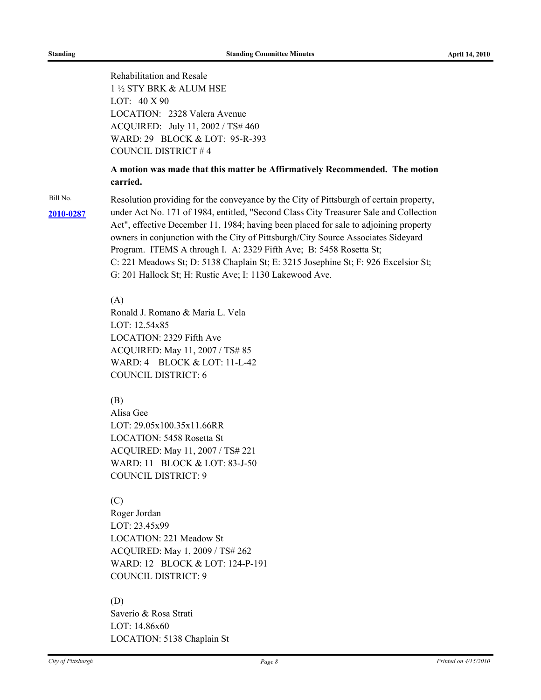Rehabilitation and Resale 1 ½ STY BRK & ALUM HSE LOT: 40 X 90 LOCATION: 2328 Valera Avenue ACQUIRED: July 11, 2002 / TS# 460 WARD: 29 BLOCK & LOT: 95-R-393 COUNCIL DISTRICT # 4

# **A motion was made that this matter be Affirmatively Recommended. The motion carried.**

Bill No. Resolution providing for the conveyance by the City of Pittsburgh of certain property, under Act No. 171 of 1984, entitled, "Second Class City Treasurer Sale and Collection **[2010-0287](http://pittsburgh.legistar.com/gateway.aspx/matter.aspx?key=12818)** Act", effective December 11, 1984; having been placed for sale to adjoining property owners in conjunction with the City of Pittsburgh/City Source Associates Sideyard Program. ITEMS A through I. A: 2329 Fifth Ave; B: 5458 Rosetta St; C: 221 Meadows St; D: 5138 Chaplain St; E: 3215 Josephine St; F: 926 Excelsior St; G: 201 Hallock St; H: Rustic Ave; I: 1130 Lakewood Ave.

#### (A)

Ronald J. Romano & Maria L. Vela LOT: 12.54x85 LOCATION: 2329 Fifth Ave ACQUIRED: May 11, 2007 / TS# 85 WARD: 4 BLOCK & LOT: 11-L-42 COUNCIL DISTRICT: 6

# (B)

Alisa Gee LOT: 29.05x100.35x11.66RR LOCATION: 5458 Rosetta St ACQUIRED: May 11, 2007 / TS# 221 WARD: 11 BLOCK & LOT: 83-J-50 COUNCIL DISTRICT: 9

# (C)

Roger Jordan LOT: 23.45x99 LOCATION: 221 Meadow St ACQUIRED: May 1, 2009 / TS# 262 WARD: 12 BLOCK & LOT: 124-P-191 COUNCIL DISTRICT: 9

# (D)

Saverio & Rosa Strati LOT: 14.86x60 LOCATION: 5138 Chaplain St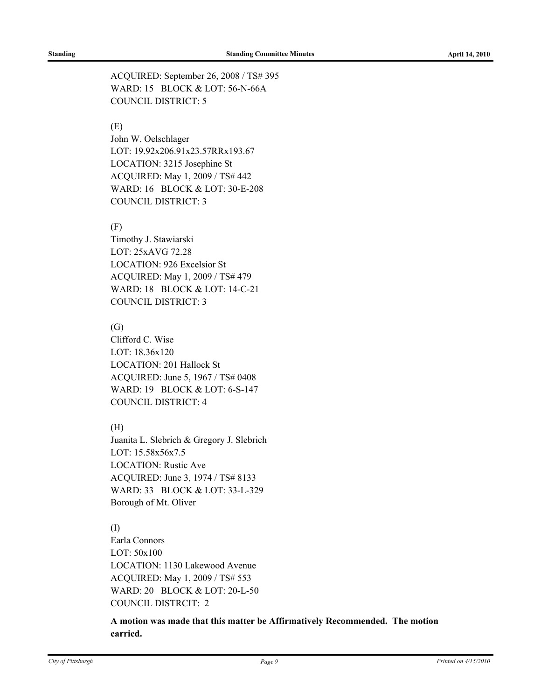ACQUIRED: September 26, 2008 / TS# 395 WARD: 15 BLOCK & LOT: 56-N-66A COUNCIL DISTRICT: 5

# (E)

John W. Oelschlager LOT: 19.92x206.91x23.57RRx193.67 LOCATION: 3215 Josephine St ACQUIRED: May 1, 2009 / TS# 442 WARD: 16 BLOCK & LOT: 30-E-208 COUNCIL DISTRICT: 3

## (F)

Timothy J. Stawiarski LOT: 25xAVG 72.28 LOCATION: 926 Excelsior St ACQUIRED: May 1, 2009 / TS# 479 WARD: 18 BLOCK & LOT: 14-C-21 COUNCIL DISTRICT: 3

## (G)

Clifford C. Wise LOT: 18.36x120 LOCATION: 201 Hallock St ACQUIRED: June 5, 1967 / TS# 0408 WARD: 19 BLOCK & LOT: 6-S-147 COUNCIL DISTRICT: 4

# (H)

Juanita L. Slebrich & Gregory J. Slebrich LOT: 15.58x56x7.5 LOCATION: Rustic Ave ACQUIRED: June 3, 1974 / TS# 8133 WARD: 33 BLOCK & LOT: 33-L-329 Borough of Mt. Oliver

# (I)

Earla Connors LOT: 50x100 LOCATION: 1130 Lakewood Avenue ACQUIRED: May 1, 2009 / TS# 553 WARD: 20 BLOCK & LOT: 20-L-50 COUNCIL DISTRCIT: 2

**A motion was made that this matter be Affirmatively Recommended. The motion carried.**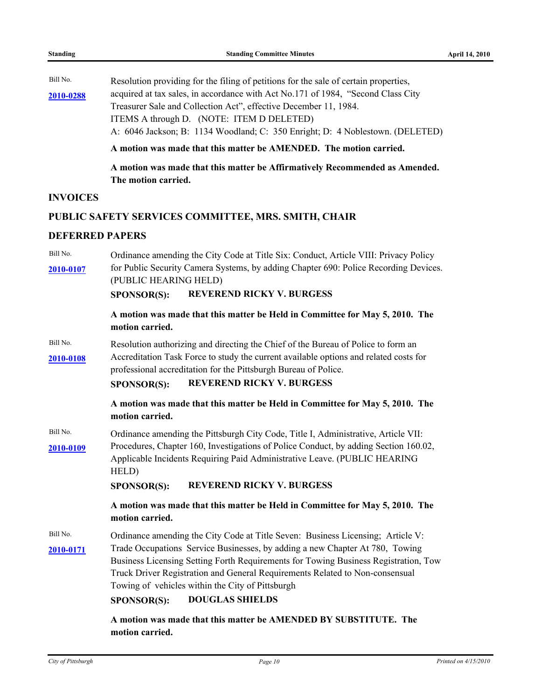Bill No. Resolution providing for the filing of petitions for the sale of certain properties, [2010-0288](http://pittsburgh.legistar.com/gateway.aspx/matter.aspx?key=12820) acquired at tax sales, in accordance with Act No.171 of 1984, "Second Class City Treasurer Sale and Collection Act", effective December 11, 1984. ITEMS A through D. (NOTE: ITEM D DELETED) A: 6046 Jackson; B: 1134 Woodland; C: 350 Enright; D: 4 Noblestown. (DELETED)

**A motion was made that this matter be AMENDED. The motion carried.**

**A motion was made that this matter be Affirmatively Recommended as Amended. The motion carried.**

#### **INVOICES**

#### **PUBLIC SAFETY SERVICES COMMITTEE, MRS. SMITH, CHAIR**

#### **DEFERRED PAPERS**

Bill No. Ordinance amending the City Code at Title Six: Conduct, Article VIII: Privacy Policy [2010-0107](http://pittsburgh.legistar.com/gateway.aspx/matter.aspx?key=12612) for Public Security Camera Systems, by adding Chapter 690: Police Recording Devices. (PUBLIC HEARING HELD)

# **SPONSOR(S): REVEREND RICKY V. BURGESS**

# **A motion was made that this matter be Held in Committee for May 5, 2010. The motion carried.**

Bill No. Resolution authorizing and directing the Chief of the Bureau of Police to form an Accreditation Task Force to study the current available options and related costs for **[2010-0108](http://pittsburgh.legistar.com/gateway.aspx/matter.aspx?key=12613)**

professional accreditation for the Pittsburgh Bureau of Police.

# **SPONSOR(S): REVEREND RICKY V. BURGESS**

**A motion was made that this matter be Held in Committee for May 5, 2010. The motion carried.**

Bill No. Cordinance amending the Pittsburgh City Code, Title I, Administrative, Article VII: [2010-0109](http://pittsburgh.legistar.com/gateway.aspx/matter.aspx?key=12614) Procedures, Chapter 160, Investigations of Police Conduct, by adding Section 160.02, Applicable Incidents Requiring Paid Administrative Leave. (PUBLIC HEARING HELD)

**SPONSOR(S): REVEREND RICKY V. BURGESS**

**A motion was made that this matter be Held in Committee for May 5, 2010. The motion carried.**

Bill No. Cordinance amending the City Code at Title Seven: Business Licensing; Article V: [2010-0171](http://pittsburgh.legistar.com/gateway.aspx/matter.aspx?key=12690) Trade Occupations Service Businesses, by adding a new Chapter At 780, Towing Business Licensing Setting Forth Requirements for Towing Business Registration, Tow Truck Driver Registration and General Requirements Related to Non-consensual Towing of vehicles within the City of Pittsburgh

**SPONSOR(S): DOUGLAS SHIELDS**

**A motion was made that this matter be AMENDED BY SUBSTITUTE. The motion carried.**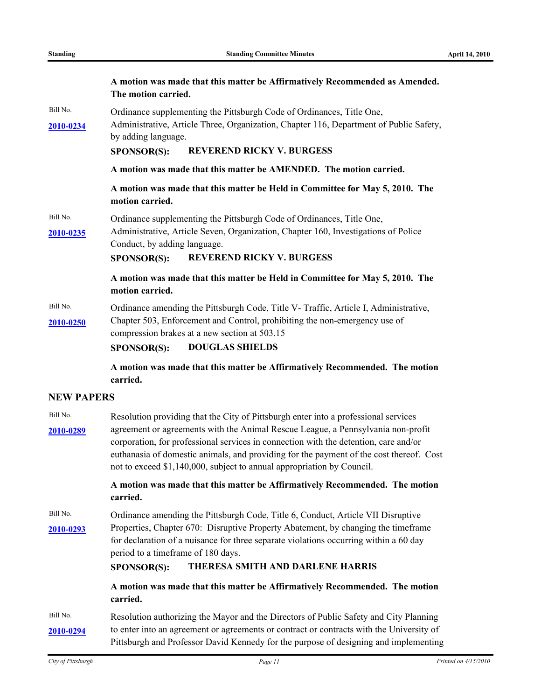|                              | A motion was made that this matter be Affirmatively Recommended as Amended.<br>The motion carried.                                                                                                                                                                                                                                                                                                                                   |  |  |  |
|------------------------------|--------------------------------------------------------------------------------------------------------------------------------------------------------------------------------------------------------------------------------------------------------------------------------------------------------------------------------------------------------------------------------------------------------------------------------------|--|--|--|
| Bill No.<br><u>2010-0234</u> | Ordinance supplementing the Pittsburgh Code of Ordinances, Title One,<br>Administrative, Article Three, Organization, Chapter 116, Department of Public Safety,<br>by adding language.<br><b>REVEREND RICKY V. BURGESS</b><br>SPONSOR(S):                                                                                                                                                                                            |  |  |  |
|                              | A motion was made that this matter be AMENDED. The motion carried.                                                                                                                                                                                                                                                                                                                                                                   |  |  |  |
|                              | A motion was made that this matter be Held in Committee for May 5, 2010. The<br>motion carried.                                                                                                                                                                                                                                                                                                                                      |  |  |  |
| Bill No.<br><u>2010-0235</u> | Ordinance supplementing the Pittsburgh Code of Ordinances, Title One,<br>Administrative, Article Seven, Organization, Chapter 160, Investigations of Police<br>Conduct, by adding language.<br><b>REVEREND RICKY V. BURGESS</b><br>SPONSOR(S):                                                                                                                                                                                       |  |  |  |
|                              | A motion was made that this matter be Held in Committee for May 5, 2010. The<br>motion carried.                                                                                                                                                                                                                                                                                                                                      |  |  |  |
| Bill No.<br>2010-0250        | Ordinance amending the Pittsburgh Code, Title V- Traffic, Article I, Administrative,<br>Chapter 503, Enforcement and Control, prohibiting the non-emergency use of<br>compression brakes at a new section at 503.15<br><b>DOUGLAS SHIELDS</b><br>SPONSOR(S):                                                                                                                                                                         |  |  |  |
|                              | A motion was made that this matter be Affirmatively Recommended. The motion<br>carried.                                                                                                                                                                                                                                                                                                                                              |  |  |  |
| <b>NEW PAPERS</b>            |                                                                                                                                                                                                                                                                                                                                                                                                                                      |  |  |  |
| Bill No.<br>2010-0289        | Resolution providing that the City of Pittsburgh enter into a professional services<br>agreement or agreements with the Animal Rescue League, a Pennsylvania non-profit<br>corporation, for professional services in connection with the detention, care and/or<br>euthanasia of domestic animals, and providing for the payment of the cost thereof. Cost<br>not to exceed \$1,140,000, subject to annual appropriation by Council. |  |  |  |
|                              | A motion was made that this matter be Affirmatively Recommended. The motion<br>carried.                                                                                                                                                                                                                                                                                                                                              |  |  |  |
| Bill No.<br>2010-0293        | Ordinance amending the Pittsburgh Code, Title 6, Conduct, Article VII Disruptive<br>Properties, Chapter 670: Disruptive Property Abatement, by changing the timeframe<br>for declaration of a nuisance for three separate violations occurring within a 60 day<br>period to a timeframe of 180 days.<br>THERESA SMITH AND DARLENE HARRIS<br>SPONSOR(S):                                                                              |  |  |  |
|                              | A motion was made that this matter be Affirmatively Recommended. The motion<br>carried.                                                                                                                                                                                                                                                                                                                                              |  |  |  |
| Bill No.<br><u>2010-0294</u> | Resolution authorizing the Mayor and the Directors of Public Safety and City Planning<br>to enter into an agreement or agreements or contract or contracts with the University of<br>Pittsburgh and Professor David Kennedy for the purpose of designing and implementing                                                                                                                                                            |  |  |  |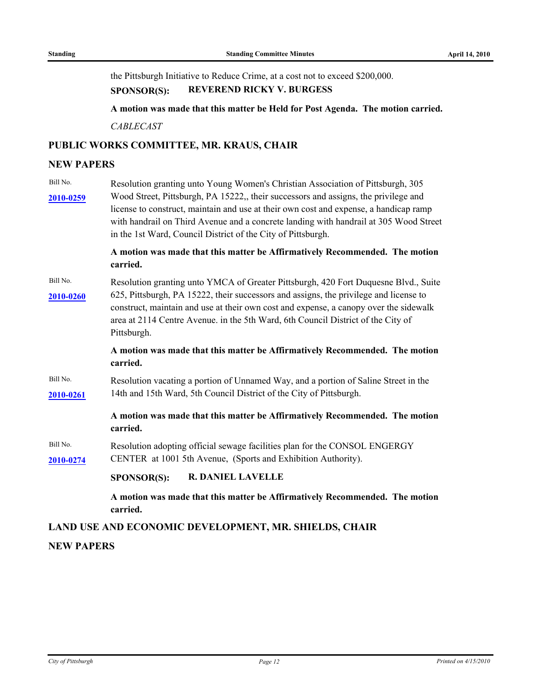the Pittsburgh Initiative to Reduce Crime, at a cost not to exceed \$200,000.

# **SPONSOR(S): REVEREND RICKY V. BURGESS**

**A motion was made that this matter be Held for Post Agenda. The motion carried.**

*CABLECAST*

# **PUBLIC WORKS COMMITTEE, MR. KRAUS, CHAIR**

#### **NEW PAPERS**

Bill No. Resolution granting unto Young Women's Christian Association of Pittsburgh, 305 Wood Street, Pittsburgh, PA 15222,, their successors and assigns, the privilege and **[2010-0259](http://pittsburgh.legistar.com/gateway.aspx/matter.aspx?key=12788)** license to construct, maintain and use at their own cost and expense, a handicap ramp with handrail on Third Avenue and a concrete landing with handrail at 305 Wood Street in the 1st Ward, Council District of the City of Pittsburgh.

# **A motion was made that this matter be Affirmatively Recommended. The motion carried.**

Bill No. Resolution granting unto YMCA of Greater Pittsburgh, 420 Fort Duquesne Blvd., Suite 625, Pittsburgh, PA 15222, their successors and assigns, the privilege and license to **[2010-0260](http://pittsburgh.legistar.com/gateway.aspx/matter.aspx?key=12789)** construct, maintain and use at their own cost and expense, a canopy over the sidewalk area at 2114 Centre Avenue. in the 5th Ward, 6th Council District of the City of Pittsburgh.

# **A motion was made that this matter be Affirmatively Recommended. The motion carried.**

Bill No. Resolution vacating a portion of Unnamed Way, and a portion of Saline Street in the **[2010-0261](http://pittsburgh.legistar.com/gateway.aspx/matter.aspx?key=12790)** 14th and 15th Ward, 5th Council District of the City of Pittsburgh.

# **A motion was made that this matter be Affirmatively Recommended. The motion carried.**

Bill No. Resolution adopting official sewage facilities plan for the CONSOL ENGERGY **[2010-0274](http://pittsburgh.legistar.com/gateway.aspx/matter.aspx?key=12804)** CENTER at 1001 5th Avenue, (Sports and Exhibition Authority).

#### **SPONSOR(S): R. DANIEL LAVELLE**

**A motion was made that this matter be Affirmatively Recommended. The motion carried.**

# **LAND USE AND ECONOMIC DEVELOPMENT, MR. SHIELDS, CHAIR**

#### **NEW PAPERS**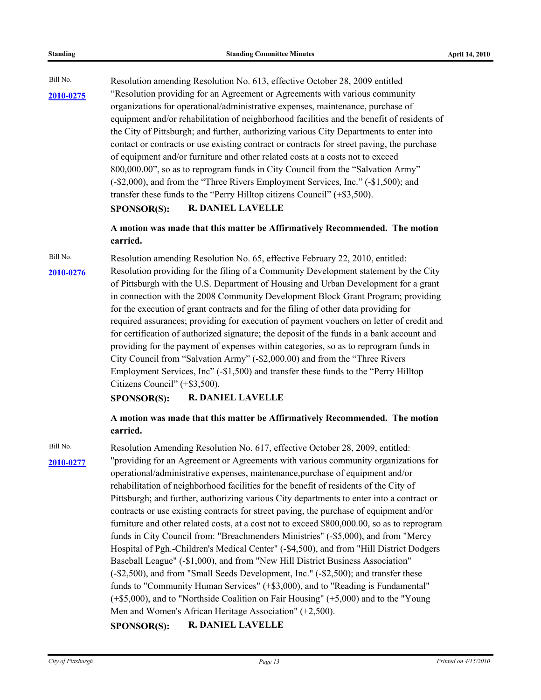Bill No. Resolution amending Resolution No. 613, effective October 28, 2009 entitled "Resolution providing for an Agreement or Agreements with various community **[2010-0275](http://pittsburgh.legistar.com/gateway.aspx/matter.aspx?key=12805)** organizations for operational/administrative expenses, maintenance, purchase of equipment and/or rehabilitation of neighborhood facilities and the benefit of residents of the City of Pittsburgh; and further, authorizing various City Departments to enter into contact or contracts or use existing contract or contracts for street paving, the purchase of equipment and/or furniture and other related costs at a costs not to exceed 800,000.00", so as to reprogram funds in City Council from the "Salvation Army" (-\$2,000), and from the "Three Rivers Employment Services, Inc." (-\$1,500); and transfer these funds to the "Perry Hilltop citizens Council" (+\$3,500).

#### **SPONSOR(S): R. DANIEL LAVELLE**

**A motion was made that this matter be Affirmatively Recommended. The motion carried.**

Bill No. Resolution amending Resolution No. 65, effective February 22, 2010, entitled: [2010-0276](http://pittsburgh.legistar.com/gateway.aspx/matter.aspx?key=12806) Resolution providing for the filing of a Community Development statement by the City of Pittsburgh with the U.S. Department of Housing and Urban Development for a grant in connection with the 2008 Community Development Block Grant Program; providing for the execution of grant contracts and for the filing of other data providing for required assurances; providing for execution of payment vouchers on letter of credit and for certification of authorized signature; the deposit of the funds in a bank account and providing for the payment of expenses within categories, so as to reprogram funds in City Council from "Salvation Army" (-\$2,000.00) and from the "Three Rivers Employment Services, Inc" (-\$1,500) and transfer these funds to the "Perry Hilltop Citizens Council" (+\$3,500).

#### **SPONSOR(S): R. DANIEL LAVELLE**

# **A motion was made that this matter be Affirmatively Recommended. The motion carried.**

Bill No. Resolution Amending Resolution No. 617, effective October 28, 2009, entitled: [2010-0277](http://pittsburgh.legistar.com/gateway.aspx/matter.aspx?key=12807) "providing for an Agreement or Agreements with various community organizations for operational/administrative expenses, maintenance,purchase of equipment and/or rehabilitation of neighborhood facilities for the benefit of residents of the City of Pittsburgh; and further, authorizing various City departments to enter into a contract or contracts or use existing contracts for street paving, the purchase of equipment and/or furniture and other related costs, at a cost not to exceed \$800,000.00, so as to reprogram funds in City Council from: "Breachmenders Ministries" (-\$5,000), and from "Mercy Hospital of Pgh.-Children's Medical Center" (-\$4,500), and from "Hill District Dodgers Baseball League" (-\$1,000), and from "New Hill District Business Association" (-\$2,500), and from "Small Seeds Development, Inc." (-\$2,500); and transfer these funds to "Community Human Services" (+\$3,000), and to "Reading is Fundamental" (+\$5,000), and to "Northside Coalition on Fair Housing" (+5,000) and to the "Young Men and Women's African Heritage Association" (+2,500).

#### **SPONSOR(S): R. DANIEL LAVELLE**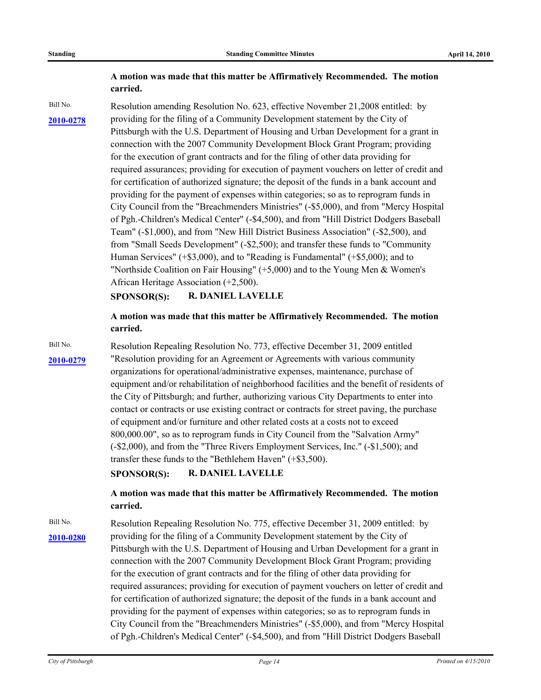# **A motion was made that this matter be Affirmatively Recommended. The motion carried.**

Bill No. Resolution amending Resolution No. 623, effective November 21,2008 entitled: by [2010-0278](http://pittsburgh.legistar.com/gateway.aspx/matter.aspx?key=12808) providing for the filing of a Community Development statement by the City of Pittsburgh with the U.S. Department of Housing and Urban Development for a grant in connection with the 2007 Community Development Block Grant Program; providing for the execution of grant contracts and for the filing of other data providing for required assurances; providing for execution of payment vouchers on letter of credit and for certification of authorized signature; the deposit of the funds in a bank account and providing for the payment of expenses within categories; so as to reprogram funds in City Council from the "Breachmenders Ministries" (-\$5,000), and from "Mercy Hospital of Pgh.-Children's Medical Center" (-\$4,500), and from "Hill District Dodgers Baseball Team" (-\$1,000), and from "New Hill District Business Association" (-\$2,500), and from "Small Seeds Development" (-\$2,500); and transfer these funds to "Community Human Services" (+\$3,000), and to "Reading is Fundamental" (+\$5,000); and to "Northside Coalition on Fair Housing" (+5,000) and to the Young Men & Women's African Heritage Association (+2,500).

**SPONSOR(S): R. DANIEL LAVELLE**

**A motion was made that this matter be Affirmatively Recommended. The motion carried.**

Bill No. Resolution Repealing Resolution No. 773, effective December 31, 2009 entitled [2010-0279](http://pittsburgh.legistar.com/gateway.aspx/matter.aspx?key=12809) Tesolution providing for an Agreement or Agreements with various community organizations for operational/administrative expenses, maintenance, purchase of equipment and/or rehabilitation of neighborhood facilities and the benefit of residents of the City of Pittsburgh; and further, authorizing various City Departments to enter into contact or contracts or use existing contract or contracts for street paving, the purchase of equipment and/or furniture and other related costs at a costs not to exceed 800,000.00", so as to reprogram funds in City Council from the "Salvation Army" (-\$2,000), and from the "Three Rivers Employment Services, Inc." (-\$1,500); and transfer these funds to the "Bethlehem Haven" (+\$3,500).

**SPONSOR(S): R. DANIEL LAVELLE**

**A motion was made that this matter be Affirmatively Recommended. The motion carried.**

Bill No. Resolution Repealing Resolution No. 775, effective December 31, 2009 entitled: by [2010-0280](http://pittsburgh.legistar.com/gateway.aspx/matter.aspx?key=12810) providing for the filing of a Community Development statement by the City of Pittsburgh with the U.S. Department of Housing and Urban Development for a grant in connection with the 2007 Community Development Block Grant Program; providing for the execution of grant contracts and for the filing of other data providing for required assurances; providing for execution of payment vouchers on letter of credit and for certification of authorized signature; the deposit of the funds in a bank account and providing for the payment of expenses within categories; so as to reprogram funds in City Council from the "Breachmenders Ministries" (-\$5,000), and from "Mercy Hospital of Pgh.-Children's Medical Center" (-\$4,500), and from "Hill District Dodgers Baseball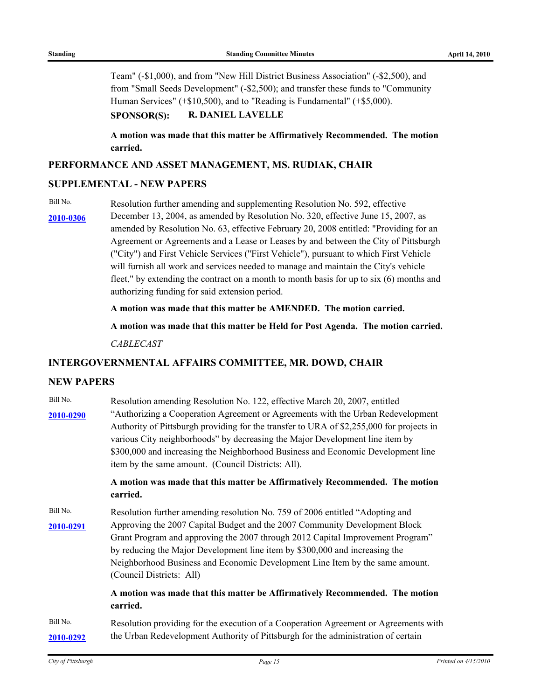Team" (-\$1,000), and from "New Hill District Business Association" (-\$2,500), and from "Small Seeds Development" (-\$2,500); and transfer these funds to "Community Human Services" (+\$10,500), and to "Reading is Fundamental" (+\$5,000).

#### **SPONSOR(S): R. DANIEL LAVELLE**

**A motion was made that this matter be Affirmatively Recommended. The motion carried.**

# **PERFORMANCE AND ASSET MANAGEMENT, MS. RUDIAK, CHAIR**

#### **SUPPLEMENTAL - NEW PAPERS**

Bill No. Resolution further amending and supplementing Resolution No. 592, effective

December 13, 2004, as amended by Resolution No. 320, effective June 15, 2007, as **[2010-0306](http://pittsburgh.legistar.com/gateway.aspx/matter.aspx?key=12838)** amended by Resolution No. 63, effective February 20, 2008 entitled: "Providing for an Agreement or Agreements and a Lease or Leases by and between the City of Pittsburgh ("City") and First Vehicle Services ("First Vehicle"), pursuant to which First Vehicle will furnish all work and services needed to manage and maintain the City's vehicle fleet," by extending the contract on a month to month basis for up to six (6) months and authorizing funding for said extension period.

**A motion was made that this matter be AMENDED. The motion carried.**

**A motion was made that this matter be Held for Post Agenda. The motion carried.**

*CABLECAST*

#### **INTERGOVERNMENTAL AFFAIRS COMMITTEE, MR. DOWD, CHAIR**

# **NEW PAPERS**

| Bill No.  | Resolution amending Resolution No. 122, effective March 20, 2007, entitled                                                                                                                                                                                                                                                                                                                            |  |  |  |
|-----------|-------------------------------------------------------------------------------------------------------------------------------------------------------------------------------------------------------------------------------------------------------------------------------------------------------------------------------------------------------------------------------------------------------|--|--|--|
| 2010-0290 | "Authorizing a Cooperation Agreement or Agreements with the Urban Redevelopment<br>Authority of Pittsburgh providing for the transfer to URA of \$2,255,000 for projects in<br>various City neighborhoods" by decreasing the Major Development line item by<br>\$300,000 and increasing the Neighborhood Business and Economic Development line<br>item by the same amount. (Council Districts: All). |  |  |  |
|           | A motion was made that this matter be Affirmatively Recommended. The motion<br>carried.                                                                                                                                                                                                                                                                                                               |  |  |  |
| Bill No.  | Resolution further amending resolution No. 759 of 2006 entitled "Adopting and                                                                                                                                                                                                                                                                                                                         |  |  |  |
| 2010-0291 | Approving the 2007 Capital Budget and the 2007 Community Development Block<br>Grant Program and approving the 2007 through 2012 Capital Improvement Program"<br>by reducing the Major Development line item by \$300,000 and increasing the<br>Neighborhood Business and Economic Development Line Item by the same amount.<br>(Council Districts: All)                                               |  |  |  |
|           | A motion was made that this matter be Affirmatively Recommended. The motion<br>carried.                                                                                                                                                                                                                                                                                                               |  |  |  |
| Bill No.  | Resolution providing for the execution of a Cooperation Agreement or Agreements with                                                                                                                                                                                                                                                                                                                  |  |  |  |
| 2010-0292 | the Urban Redevelopment Authority of Pittsburgh for the administration of certain                                                                                                                                                                                                                                                                                                                     |  |  |  |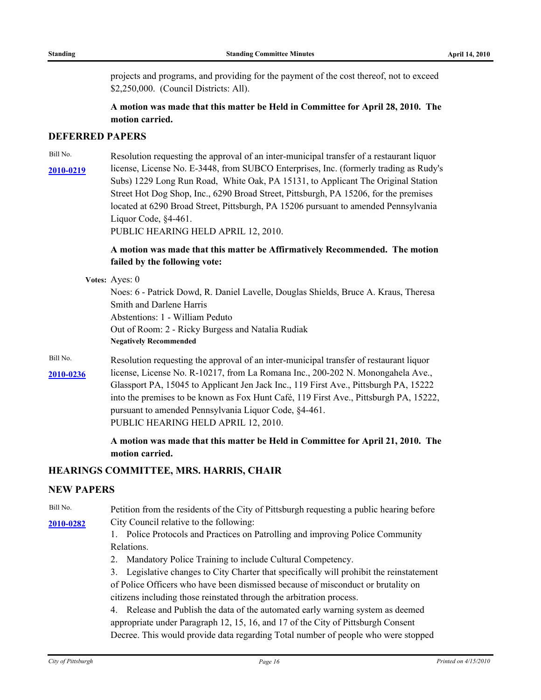projects and programs, and providing for the payment of the cost thereof, not to exceed \$2,250,000. (Council Districts: All).

**A motion was made that this matter be Held in Committee for April 28, 2010. The motion carried.**

#### **DEFERRED PAPERS**

Bill No. Resolution requesting the approval of an inter-municipal transfer of a restaurant liquor license, License No. E-3448, from SUBCO Enterprises, Inc. (formerly trading as Rudy's **[2010-0219](http://pittsburgh.legistar.com/gateway.aspx/matter.aspx?key=12742)** Subs) 1229 Long Run Road, White Oak, PA 15131, to Applicant The Original Station Street Hot Dog Shop, Inc., 6290 Broad Street, Pittsburgh, PA 15206, for the premises located at 6290 Broad Street, Pittsburgh, PA 15206 pursuant to amended Pennsylvania Liquor Code, §4-461.

PUBLIC HEARING HELD APRIL 12, 2010.

# **A motion was made that this matter be Affirmatively Recommended. The motion failed by the following vote:**

**Votes:** Ayes: 0

Noes: 6 - Patrick Dowd, R. Daniel Lavelle, Douglas Shields, Bruce A. Kraus, Theresa Smith and Darlene Harris Abstentions: 1 - William Peduto Out of Room: 2 - Ricky Burgess and Natalia Rudiak **Negatively Recommended**

Bill No. Resolution requesting the approval of an inter-municipal transfer of restaurant liquor [2010-0236](http://pittsburgh.legistar.com/gateway.aspx/matter.aspx?key=12762) license, License No. R-10217, from La Romana Inc., 200-202 N. Monongahela Ave., Glassport PA, 15045 to Applicant Jen Jack Inc., 119 First Ave., Pittsburgh PA, 15222 into the premises to be known as Fox Hunt Café, 119 First Ave., Pittsburgh PA, 15222, pursuant to amended Pennsylvania Liquor Code, §4-461. PUBLIC HEARING HELD APRIL 12, 2010.

> **A motion was made that this matter be Held in Committee for April 21, 2010. The motion carried.**

#### **HEARINGS COMMITTEE, MRS. HARRIS, CHAIR**

#### **NEW PAPERS**

Bill No. Petition from the residents of the City of Pittsburgh requesting a public hearing before [2010-0282](http://pittsburgh.legistar.com/gateway.aspx/matter.aspx?key=12812) City Council relative to the following:

> 1. Police Protocols and Practices on Patrolling and improving Police Community Relations.

2. Mandatory Police Training to include Cultural Competency.

3. Legislative changes to City Charter that specifically will prohibit the reinstatement of Police Officers who have been dismissed because of misconduct or brutality on citizens including those reinstated through the arbitration process.

4. Release and Publish the data of the automated early warning system as deemed appropriate under Paragraph 12, 15, 16, and 17 of the City of Pittsburgh Consent Decree. This would provide data regarding Total number of people who were stopped